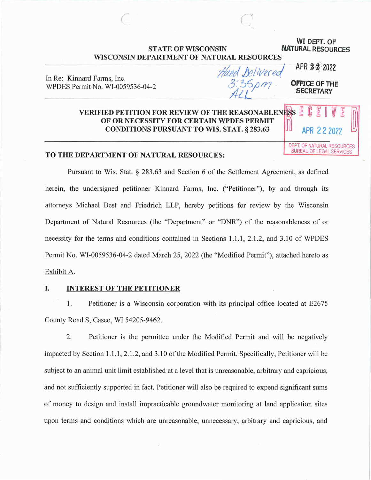# **STATE OF WISCONSIN NATURAL RESOURCES WISCONSIN DEPARTMENT OF NATURAL RESOURCES**

Hand Delivered

 $($ 

**WI DEPT. OF** 

APR **2·2\_.,. 2022** 

**OFFICE OF THE SECRETARY** 

In Re: Kinnard Farms, Inc. WPDES Permit No. WI-0059536-04-2

# **VERIFIED PETITION FOR REVIEW OF THE REASONABLENESS E**<br>OF OR NECESSITY FOR CERTAIN WPDES PERMIT **CONDITIONS PURSUANT TO WIS. STAT. § 283.63**

DEPT. OF NATURAL RESOURCES BUREAU OF LEGAL SERVICES

## **TO THE DEPARTMENT OF NATURAL RESOURCES:**

Pursuant to Wis. Stat. § 283.63 and Section 6 of the Settlement Agreement, as defined herein, the undersigned petitioner Kinnard Farms, Inc. ("Petitioner"), by and through its attorneys Michael Best and Friedrich LLP, hereby petitions for review by the Wisconsin Department of Natural Resources (the "Department" or "DNR") of the reasonableness of or necessity for the terms and conditions contained in Sections 1.1.1, 2.1.2, and 3 .10 of WPDES Permit No. WI-0059536-04-2 dated March 25, 2022 (the "Modified Permit"), attached hereto as Exhibit A.

## I. **INTEREST OF THE PETITIONER**

1. Petitioner is a Wisconsin corporation with its principal office located at E2675 County Road S, Casco, WI 54205-9462.

2. Petitioner is the permittee under the Modified Permit and will be negatively impacted by Section 1.1.1, 2.1.2, and 3.10 of the Modified Permit. Specifically, Petitioner will be subject to an animal unit limit established at a level that is unreasonable, arbitrary and capricious, and not sufficiently supported in fact. Petitioner will also be required to expend significant sums of money to design and install impracticable groundwater monitoring at land application sites upon terms and conditions which are unreasonable, unnecessary, arbitrary and capricious, and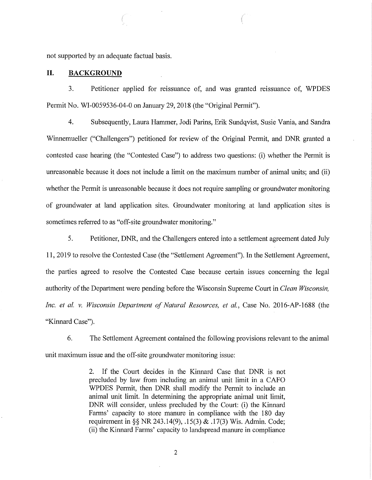not supported by an adequate factual basis.

## **II. BACKGROUND**

3. Petitioner applied for reissuance of, and was granted reissuance of, WPDES Permit No. WI-0059536-04-0 on January 29, 2018 (the "Original Permit").

4. Subsequently, Laura Hammer, Jodi Parins, Erik Sundqvist, Susie Vania, and Sandra Winnemueller ("Challengers") petitioned for review of the Original Permit, and DNR granted a contested case hearing (the "Contested Case") to address two questions: (i) whether the Permit is unreasonable because it does not include a limit on the maximum number of animal units; and (ii) whether the Permit is unreasonable because it does not require sampling or groundwater monitoring of groundwater at land application sites. Groundwater monitoring at land application sites is sometimes referred to as "off-site groundwater monitoring."

5. Petitioner, DNR, and the Challengers entered into a settlement agreement dated July 11, 2019 to resolve the Contested Case (the "Settlement Agreement"). In the Settlement Agreement, the parties agreed to resolve the Contested Case because certain issues concerning the legal authority of the Department were pending before the Wisconsin Supreme Court in *Clean Wisconsin, Inc. et al. v. Wisconsin Department of Natural Resources, et al., Case No. 2016-AP-1688* (the "Kinnard Case").

6. The Settlement Agreement contained the following provisions relevant to the animal unit maximum issue and the off-site groundwater monitoring issue:

> 2. If the Court decides in the Kinnard Case that DNR is not precluded by law from including an animal unit limit in a CAFO WPDES Permit, then DNR shall modify the Permit to include an animal unit limit. In determining the appropriate animal unit limit, DNR will consider, unless precluded by the Court: (i) the Kinnard Farms' capacity to store manure in compliance with the 180 day requirement in§§ NR 243.14(9), .15(3) & .17(3) Wis. Admin. Code; (ii) the Kinnard Farms' capacity to landspread manure in compliance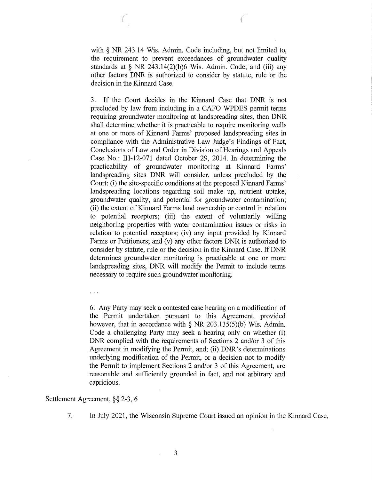with § NR 243.14 Wis. Admin. Code including, but not limited to, the requirement to prevent exceedances of groundwater quality standards at  $\S$  NR 243.14(2)(b)6 Wis. Admin. Code; and (iii) any other factors DNR is authorized to consider by statute, rule or the decision in the Kinnard Case.

3. If the Court decides in the Kinnard Case that DNR is not precluded by law from including in a CAPO WPDES permit terms requiring groundwater monitoring at landspreading sites, then DNR shall detennine whether it is practicable to require monitoring wells at one or more of Kinnard Farms' proposed landspreading sites in compliance with the Administrative Law Judge's Findings of Fact, Conclusions of Law and Order in Division of Hearings and Appeals Case No.: IH-12-071 dated October 29, 2014. In determining the practicability of groundwater monitoring at Kinnard Farms' landspreading sites DNR will consider, unless precluded by the Court: (i) the site-specific conditions at the proposed Kinnard Farms' landspreading locations regarding soil make up, nutrient uptake, groundwater quality, and potential for groundwater contamination; (ii) the extent of Kinnard Farms land ownership or control in relation to potential receptors; (iii) the extent of voluntarily willing neighboring properties with water contamination issues or risks in relation to potential receptors; (iv) any input provided by Kinnard Farms or Petitioners; and (v) any other factors DNR is authorized to consider by statute, rule or the decision in the Kinnard Case. If DNR determines groundwater. monitoring is practicable at one or more landspreading sites, DNR will modify the Permit to include terms necessaty to require such groundwater monitoring.

 $\cdots$ 

6. Any Patty may seek a contested case hearing on a modification of the Permit undertaken pursuant to this Agreement, provided however, that in accordance with § NR 203.135(5)(b) Wis. Admin. Code a challenging Patty may seek a hearing only on whether (i) DNR complied with the requirements of Sections 2 and/or 3 of this Agreement in modifying the Permit, and; (ii) DNR's determinations underlying modification of the Permit, or a decision not to modify the Permit to implement Sections 2 and/or 3 of this Agreement; are reasonable and sufficiently grounded in fact, and not arbitrary and capricious.

## Settlement Agreement,§§ 2-3, 6

7. In July 2021, the Wisconsin Supreme Court issued an opinion in the Kinnard Case,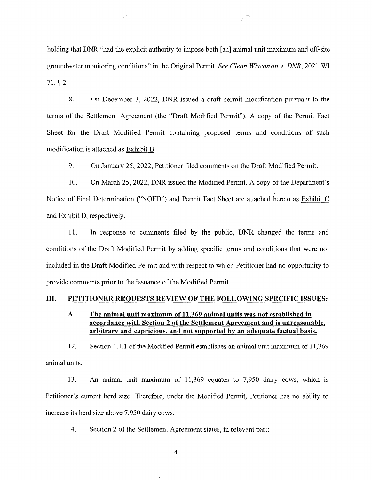holding that DNR "had the explicit authority to impose both [an] animal unit maximum and off-site groundwater monitoring conditions" in the Original Permit. *See Clean Wisconsin v. DNR,* 2021 WI  $71.$  12.

8. On December 3, 2022, DNR issued a draft permit modification pursuant to the terms of the Settlement Agreement (the "Draft Modified Permit"). A copy of the Permit Fact Sheet for the Draft Modified Permit containing proposed terms and conditions of such modification is attached as Exhibit B.

9. On January 25, 2022, Petitioner filed comments on the Draft Modified Permit.

10. On March 25, 2022, DNR issued the Modified Permit. A copy of the Department's Notice of Final Determination ("NOFD") and Permit Fact Sheet are attached hereto as Exhibit C and Exhibit D, respectively.

11. In response to comments filed by the public, DNR changed the terms and conditions of the Draft Modified Permit by adding specific terms and conditions that were not included in the Draft Modified Permit and with respect to which Petitioner had no opportunity to provide comments prior to the issuance of the Modified Permit.

## **III. PETITIONER REQUESTS REVIEW OF THE FOLLOWING SPECIFIC ISSUES:**

## **A. The animal unit maximum of 11,369 animal units was not established in accordance with Section 2 of the Settlement Agreement and is unreasonable, arbitrary and capricious, and not supported by an adequate factual basis.**

12. Section 1.1.1 of the Modified Permit establishes an animal unit maximum of 11,369 animal units.

13. An animal unit maximum of 11,369 equates to 7,950 dairy cows, which is Petitioner's current herd size. Therefore, under the Modified Permit, Petitioner has no ability to increase its herd size above 7,950 dairy cows.

14. Section 2 of the Settlement Agreement states, in relevant part: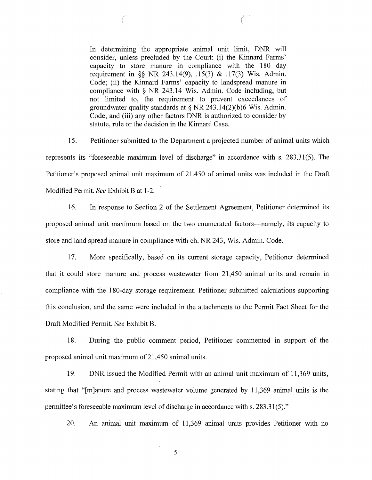In determining the appropriate animal unit limit, DNR will consider, unless precluded by the Court: (i) the Kinnard Farms' capacity to store manure in compliance with the 180 day requirement in §§ NR 243.14(9), .15(3) & .17(3) Wis. Admin. Code; (ii) the Kinnard Farms' capacity to landspread manure in compliance with § NR 243.14 Wis. Admin. Code including, but not limited to, the requirement to prevent exceedances of groundwater quality standards at§ NR 243.14(2)(b)6 Wis. Admin. Code; and (iii) any other factors DNR is authorized to consider by statute, rule or the decision in the Kinnard Case.

15. Petitioner submitted to the Department a projected number of animal units which represents its "foreseeable maximum level of discharge" in accordance with s. 283.31(5). The Petitioner's proposed animal unit maximum of 21,450 of animal units was included in the Draft Modified Permit. *See* Exhibit B at 1-2.

16. In response to Section 2 of the Settlement Agreement, Petitioner determined its proposed animal unit maximum based on the two enumerated factors-namely, its capacity to store and land spread manure in compliance with ch. NR 243, Wis. Admin. Code.

17. More specifically, based on its current storage capacity, Petitioner determined that it could store manure and process wastewater from 21,450 animal units and remain in compliance with the 180-day storage requirement. Petitioner submitted calculations supporting this conclusion, and the same were included in the attachments to the Permit Fact Sheet for the Draft Modified Permit. *See* Exhibit B.

18. During the public comment period, Petitioner commented in support of the proposed animal unit maximum of 21,450 animal units.

19. DNR issued the Modified Permit with an animal unit maximum of 11,369 units, stating that "[m]anure and process wastewater volume generated by 11,369 animal units is the permittee's foreseeable maximum level of discharge in accordance with s. 283.31(5)."

20. An animal unit maximum of 11,369 animal units provides Petitioner with no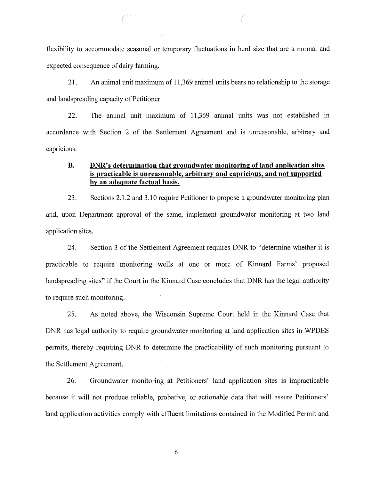flexibility to accommodate seasonal or temporary fluctuations in herd size that are a normal and expected consequence of dairy farming.

21. An animal unit maximum of 11,369 animal units bears no relationship to the storage and landspreading capacity of Petitioner.

22. The animal unit maximum of 11,369 animal units was not established in accordance with Section 2 of the Settlement Agreement and is unreasonable, arbitrary and capricious.

# **B. DNR's determination that groundwater monitoring of land application sites is practicable is unreasonable, arbitrary and capricious, and not supported by an adequate factual basis.**

23. Sections 2.1.2 and 3 .10 require Petitioner to propose a groundwater monitoring plan and, upon Department approval of the same, implement groundwater monitoring at two land application sites.

24. Section 3 of the Settlement Agreement requires DNR to "determine whether it is practicable to require monitoring wells at one or more of Kinnard Farms' proposed landspreading sites" if the Court in the Kinnard Case concludes that DNR has the legal authority to require such monitoring.

25. As noted above, the Wisconsin Supreme Court held in the Kinnard Case that DNR has legal authority to require groundwater monitoring at land application sites in WPDES permits, thereby requiring DNR to determine the practicability of such monitoring pursuant to the Settlement Agreement.

26. Groundwater monitoring at Petitioners' land application sites is impracticable because it will not produce reliable, probative, or actionable data that will assure Petitioners' land application activities comply with effluent limitations contained in the Modified Permit and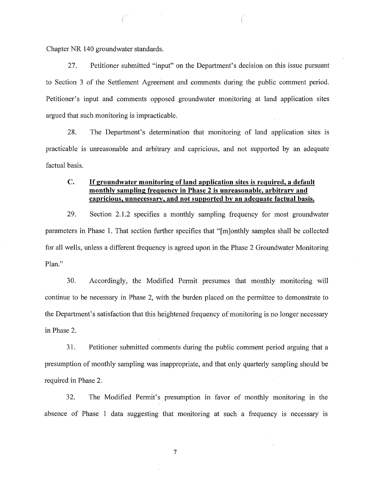Chapter NR 140 groundwater standards.

27. Petitioner submitted "input" on the Department's decision on this issue pursuant to Section 3 of the Settlement Agreement and comments during the public comment period. Petitioner's input and comments opposed groundwater monitoring at land application sites argued that such monitoring is impracticable.

28. The Department's determination that monitoring of land application sites is practicable is unreasonable and arbitrary and capricious, and not supported by an adequate factual basis.

# **C. If groundwater monitoring of land application sites is required, a default monthly sampling frequency in Phase 2 is unreasonable, arbitrary and capricious, unnecessary, and not supported by an adequate factual basis.**

29. Section 2.1.2 specifies a monthly sampling frequency for most groundwater parameters in Phase 1. That section further specifies that "[ m ]onthly samples shall be collected for all wells, unless a different frequency is agreed upon in the Phase 2 Groundwater Monitoring Plan."

30. Accordingly, the Modified Permit presumes that monthly monitoring will continue to be necessary in Phase 2, with the burden placed on the permittee to demonstrate to the Department's satisfaction that this heightened frequency of monitoring is no longer necessary in Phase 2.

31. Petitioner submitted comments during the public comment period arguing that a presumption of monthly sampling was inappropriate, and that only quarterly sampling should be required in Phase 2.

32. The Modified Permit's presumption in favor of monthly monitoring in the absence of Phase 1 data suggesting that monitoring at such a frequency is necessary is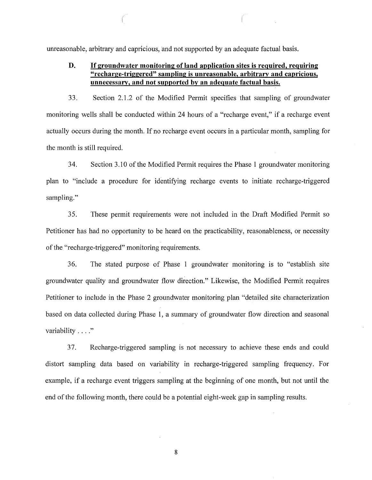unreasonable, arbitrary and capricious, and not supported by an adequate factual basis.

#### **D. If groundwater monitoring of land application sites is required, requiring "recharge-triggered" sampling is unreasonable, arbitrary and capricious, unnecessary, and not supported by an adequate factual basis.**

33. Section 2.1.2 of the Modified Permit specifies that sampling of groundwater monitoring wells shall be conducted within 24 hours of a "recharge event," if a recharge event actually occurs during the month. If no recharge event occurs in a particular month, sampling for the month is still required.

34. Section 3.10 of the Modified Permit requires the Phase 1 groundwater monitoring plan to "include a procedure for identifying recharge events to initiate recharge-triggered sampling."

35. These permit requirements were not included in the Draft Modified Permit so Petitioner has had no opportunity to be heard on the practicability, reasonableness, or necessity of the "recharge-triggered" monitoring requirements.

36. The stated purpose of Phase 1 groundwater monitoring is to "establish site groundwater quality and groundwater flow direction." Likewise, the Modified Permit requires Petitioner to include in the Phase 2 groundwater monitoring plan "detailed site characterization based on data collected during Phase 1, a summary of groundwater flow direction and seasonal variability . . . ."

3 7. Recharge-triggered sampling is not necessary to achieve these ends and could distort sampling data based on variability in recharge-triggered sampling frequency. For example, if a recharge event triggers sampling at the beginning of one month, but not until the end of the following month, there could be a potential eight-week gap in sampling results.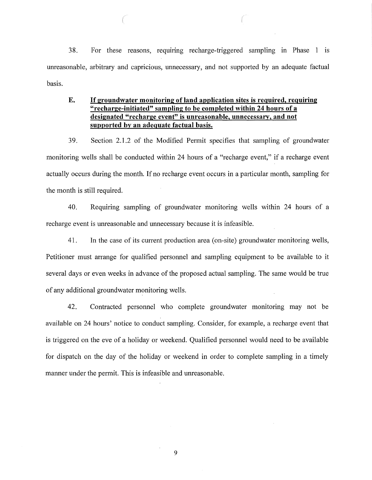38. For these reasons, requiring recharge-triggered sampling in Phase 1 is unreasonable, arbitrary and capricious, unnecessary, and not supported by an adequate factual basis.

#### **E. If groundwater monitoring of land application sites is required, requiring "recharge-initiated" sampling to be completed within 24 hours of a designated "recharge event" is unreasonable, unnecessary, and not supported by an adequate factual basis.**

39. Section 2.1.2 of the Modified Permit specifies that sampling of groundwater monitoring wells shall be conducted within 24 hours of a "recharge event," if a recharge event actually occurs during the month. If no recharge event occurs in a particular month, sampling for the month is still required.

40. Requiring sampling of groundwater monitoring wells within 24 hours of a recharge event is unreasonable and unnecessary because it is infeasible.

41. In the case of its cunent production area (on-site) groundwater monitoring wells, Petitioner must arrange for qualified personnel and sampling equipment to be available to it several days or even weeks in advance of the proposed actual sampling. The same would be true of any additional groundwater monitoring wells.

42. Contracted personnel who complete groundwater monitoring may not be available on 24 hours' notice to conduct sampling. Consider, for example, a recharge event that is triggered on the eve of a holiday or weekend. Qualified personnel would need to be available for dispatch on the day of the holiday or weekend in order to complete sampling in a timely manner under the permit. This is infeasible and unreasonable.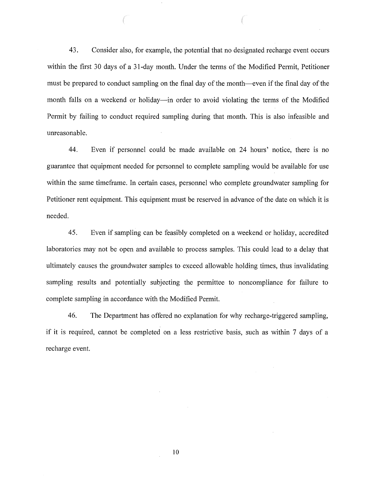43. Consider also, for example, the potential that no designated recharge event occurs within the first 30 days of a 31-day month. Under the terms of the Modified Permit, Petitioner must be prepared to conduct sampling on the final day of the month-even if the final day of the month falls on a weekend or holiday—in order to avoid violating the terms of the Modified Permit by failing to conduct required sampling during that month. This is also infeasible and umeasonable.

44. Even if personnel could be made available on 24 hours' notice, there is no guarantee that equipment needed for personnel to complete sampling would be available for use within the same timeframe. In certain cases, personnel who complete groundwater sampling for Petitioner rent equipment. This equipment must be reserved in advance of the date on which it is needed.

45. Even if sampling can be feasibly completed on a weekend or holiday, accredited laboratories may not be open and available to process samples. This could lead to a delay that ultimately causes the groundwater samples to exceed allowable holding times, thus invalidating sampling results and potentially subjecting the permittee to noncompliance for failure to complete sampling in accordance with the Modified Permit.

46. The Department has offered no explanation for why recharge-triggered sampling, if it is required, cannot be completed on a less restrictive basis, such as within 7 days of a recharge event.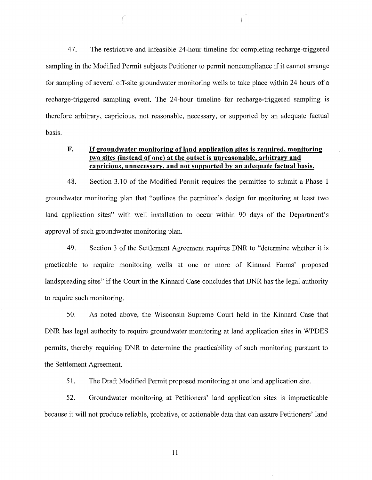47. The restrictive and infeasible 24-hour timeline for completing recharge-triggered sampling in the Modified Permit subjects Petitioner to permit noncompliance if it cannot arrange for sampling of several off-site groundwater monitoring wells to take place within 24 hours of a recharge-triggered sampling event. The 24-hour timeline for recharge-triggered sampling is therefore arbitrary, capricious, not reasonable, necessary, or supported by an adequate factual basis.

## **F. If groundwater monitoring of land application sites is required, monitoring two sites {instead of one) at the outset is unreasonable, arbitrary and capricious, unnecessary, and not supported by an adequate factual basis.**

48. Section 3 .10 of the Modified Permit requires the permittee to submit a Phase 1 groundwater monitoring plan that "outlines the permittee's design for monitoring at least two land application sites" with well installation to occur within 90 days of the Department's approval of such groundwater monitoring plan.

49. Section 3 of the Settlement Agreement requires DNR to "determine whether it is practicable to require monitoring wells at one or more of Kinnard Farms' proposed landspreading sites" if the Court in the Kinnard Case concludes that DNR has the legal authority to require such monitoring.

50. As noted above, the Wisconsin Supreme Court held in the Kinnard Case that DNR has legal authority to require groundwater monitoring at land application sites in WPDES permits, thereby requiring DNR to determine the practicability of such monitoring pursuant to the Settlement Agreement.

51. The Draft Modified Permit proposed monitoring at one land application site.

52. Groundwater monitoring at Petitioners' land application sites is impracticable because it will not produce reliable, probative, or actionable data that can assure Petitioners' land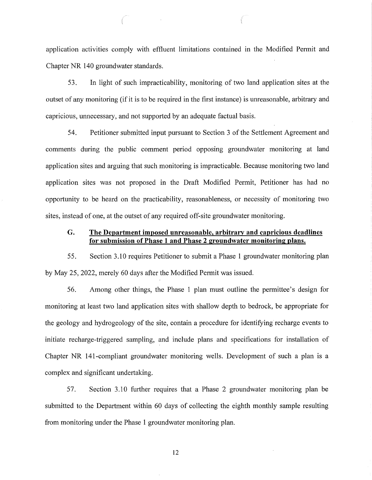application activities comply with effluent limitations contained in the Modified Permit and Chapter NR 140 groundwater standards.

53. In light of such impracticability, monitoring of two land application sites at the outset of any monitoring (if it is to be required in the first instance) is umeasonable, arbitrary and capricious, unnecessary, and not supported by an adequate factual basis.

54. Petitioner submitted input pursuant to Section 3 of the Settlement Agreement and comments during the public comment period opposing groundwater monitoring at land application sites and arguing that such monitoring is impracticable. Because monitoring two land application sites was not proposed in the Draft Modified Permit, Petitioner has had no opportunity to be heard on the practicability, reasonableness, or necessity of monitoring two sites, instead of one, at the outset of any required off-site groundwater monitoring.

## **G. The Department imposed unreasonable, arbitrary and capricious deadlines for submission of Phase 1 and Phase 2 groundwater monitoring plans.**

5 5. Section 3 .10 requires Petitioner to submit a Phase 1 groundwater monitoring plan by May 25, 2022, merely 60 days after the Modified Permit was issued.

56. Among other things, the Phase 1 plan must outline the permittee's design for monitoring at least two land application sites with shallow depth to bedrock, be appropriate for the geology and hydrogeology of the site, contain a procedure for identifying recharge events to initiate recharge-triggered sampling, and include plans and specifications for installation of Chapter NR 141-compliant groundwater monitoring wells. Development of such a plan is a complex and significant undertaking.

57. Section 3 .10 further requires that a Phase 2 groundwater monitoring plan be submitted to the Department within 60 days of collecting the eighth monthly sample resulting from monitoring under the Phase 1 groundwater monitoring plan.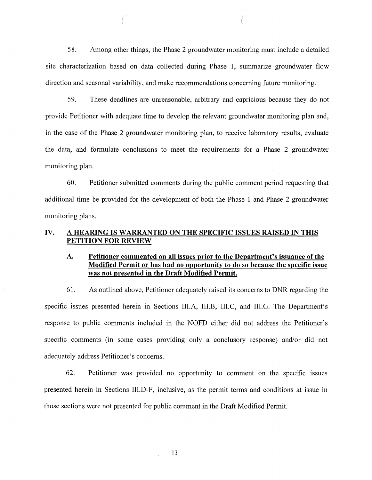58. Among other things, the Phase 2 groundwater monitoring must include a detailed site characterization based on data collected during Phase 1, summarize groundwater flow direction and seasonal variability, and make recommendations concerning future monitoring.

59. These deadlines are unreasonable, arbitrary and capricious because they do not provide Petitioner with adequate time to develop the relevant groundwater monitoring plan and, in the case of the Phase 2 groundwater monitoring plan, to receive laboratory results, evaluate the data, and formulate conclusions to meet the requirements for a Phase 2 groundwater monitoring plan.

60. Petitioner submitted comments during the public comment period requesting that additional time be provided for the development of both the Phase 1 and Phase 2 groundwater monitoring plans.

# **IV. A HEARING IS WARRANTED ON THE SPECIFIC ISSUES RAISED IN THIS PETITION FOR REVIEW**

# **A. Petitioner commented on all issues prior to the Department's issuance of the Modified Permit or has had no opportunity to do so because the specific issue was not presented in the Draft Modified Permit.**

61. As outlined above, Petitioner adequately raised its concerns to DNR regarding the specific issues presented herein in Sections III.A, III.B, III.C, and III.G. The Department's response to public comments included in the NOFD either did not address the Petitioner's specific comments (in some cases providing only a conclusory response) and/or did not adequately address Petitioner's concerns.

62. Petitioner was provided no opportunity to comment on the specific issues presented herein in Sections III.D-F, inclusive, as the permit terms and conditions at issue in those sections were not presented for public comment in the Draft Modified Permit.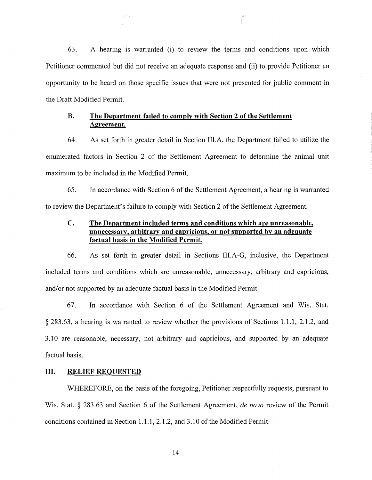63. A hearing is warranted (i) to review the terms and conditions upon which Petitioner commented but did not receive an adequate response and (ii) to provide Petitioner an opportunity to be heard on those specific issues that were not presented for public comment in the Draft Modified Permit.

# **B. The Department failed to comply with Section 2 of the Settlement Agreement.**

64. As set forth in greater detail in Section III.A, the Department failed to utilize the enumerated factors in Section 2 of the Settlement Agreement to determine the animal unit maximum to be included in the Modified Permit.

65. In accordance with Section 6 of the Settlement Agreement, a hearing is warranted to review the Department's failure to comply with Section 2 of the Settlement Agreement.

# **C. The Department included terms and conditions which are unreasonable, unnecessary, arbitrary and capricious, or not supported by an adequate factual basis in the Modified Permit.**

66. As set forth in greater detail in Sections III.A-G, inclusive, the Department included terms and conditions which are unreasonable, unnecessary, arbitrary and capricious, and/or not supported by an adequate factual basis in the Modified Permit.

67. In accordance with Section 6 of the Settlement Agreement and Wis. Stat. § 283.63, a hearing is warranted to review whether the provisions of Sections 1.1.1, 2.1.2, and 3 .10 are reasonable, necessary, not arbitrary and capricious, and supported by an adequate factual basis.

# **III. RELIEF REQUESTED**

WHEREFORE, on the basis of the foregoing, Petitioner respectfully requests, pursuant to Wis. Stat. § 283.63 and Section 6 of the Settlement Agreement, *de nova* review of the Permit conditions contained in Section 1.1.1, 2.1.2, and 3.10 of the Modified Permit.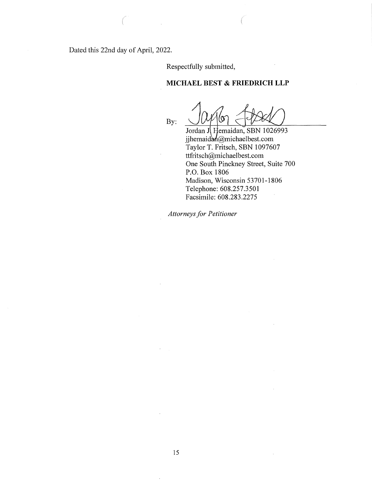Dated this 22nd day of April, 2022.

Respectfully submitted,

## **MICHAEL BEST & FRIEDRICH LLP**

 $\bigcup$ 

Jordan J Hemaidan, SBN 1026993 jjhemaid $\mathbf{a}$ michaelbest.com Taylor T. Fritsch, SBN 1097607 ttfritsch@michaelbest.com One South Pinckney Street, Suite 700 P.O. Box 1806 Madison, Wisconsin 53701-1806 Telephone: 608.257.3501 Facsimile: 608.283.2275

*Attorneys for Petitioner*